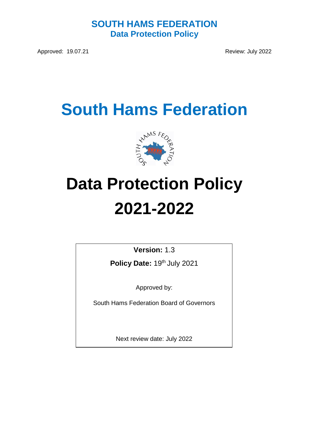## **SOUTH HAMS FEDERATION Data Protection Policy**

Approved: 19.07.21 Review: July 2022

## **South Hams Federation**



# **Data Protection Policy 2021-2022**

**Version:** 1.3

Policy Date: 19<sup>th</sup> July 2021

Approved by:

South Hams Federation Board of Governors

Next review date: July 2022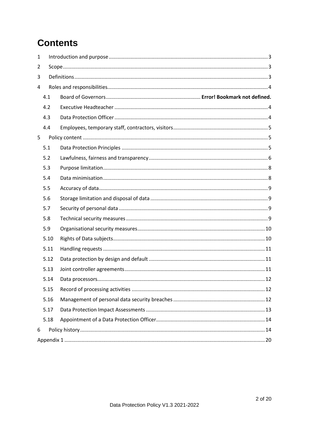## **Contents**

| 1 |      |  |  |  |
|---|------|--|--|--|
| 2 |      |  |  |  |
| 3 |      |  |  |  |
| 4 |      |  |  |  |
|   | 4.1  |  |  |  |
|   | 4.2  |  |  |  |
|   | 4.3  |  |  |  |
|   | 4.4  |  |  |  |
| 5 |      |  |  |  |
|   | 5.1  |  |  |  |
|   | 5.2  |  |  |  |
|   | 5.3  |  |  |  |
|   | 5.4  |  |  |  |
|   | 5.5  |  |  |  |
|   | 5.6  |  |  |  |
|   | 5.7  |  |  |  |
|   | 5.8  |  |  |  |
|   | 5.9  |  |  |  |
|   | 5.10 |  |  |  |
|   | 5.11 |  |  |  |
|   | 5.12 |  |  |  |
|   | 5.13 |  |  |  |
|   | 5.14 |  |  |  |
|   | 5.15 |  |  |  |
|   | 5.16 |  |  |  |
|   | 5.17 |  |  |  |
|   | 5.18 |  |  |  |
| 6 |      |  |  |  |
|   |      |  |  |  |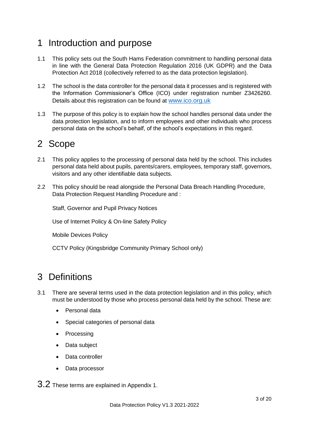## <span id="page-2-0"></span>1 Introduction and purpose

- 1.1 This policy sets out the South Hams Federation commitment to handling personal data in line with the General Data Protection Regulation 2016 (UK GDPR) and the Data Protection Act 2018 (collectively referred to as the data protection legislation).
- 1.2 The school is the data controller for the personal data it processes and is registered with the Information Commissioner's Office (ICO) under registration number Z3426260. Details about this registration can be found at [www.ico.org.uk](http://www.ico.org.uk/)
- 1.3 The purpose of this policy is to explain how the school handles personal data under the data protection legislation, and to inform employees and other individuals who process personal data on the school's behalf, of the school's expectations in this regard.

## <span id="page-2-1"></span>2 Scope

- 2.1 This policy applies to the processing of personal data held by the school. This includes personal data held about pupils, parents/carers, employees, temporary staff, governors, visitors and any other identifiable data subjects.
- 2.2 This policy should be read alongside the Personal Data Breach Handling Procedure, Data Protection Request Handling Procedure and :

Staff, Governor and Pupil Privacy Notices

Use of Internet Policy & On-line Safety Policy

Mobile Devices Policy

CCTV Policy (Kingsbridge Community Primary School only)

## <span id="page-2-2"></span>3 Definitions

- 3.1 There are several terms used in the data protection legislation and in this policy, which must be understood by those who process personal data held by the school. These are:
	- Personal data
	- Special categories of personal data
	- **Processing**
	- Data subject
	- Data controller
	- Data processor

3.2 These terms are explained in Appendix 1.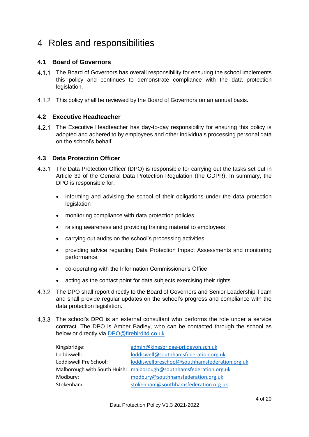## <span id="page-3-0"></span>4 Roles and responsibilities

#### **4.1 Board of Governors**

- 4.1.1 The Board of Governors has overall responsibility for ensuring the school implements this policy and continues to demonstrate compliance with the data protection legislation.
- 4.1.2 This policy shall be reviewed by the Board of Governors on an annual basis.

#### <span id="page-3-1"></span>**4.2 Executive Headteacher**

4.2.1 The Executive Headteacher has day-to-day responsibility for ensuring this policy is adopted and adhered to by employees and other individuals processing personal data on the school's behalf.

#### <span id="page-3-2"></span>**4.3 Data Protection Officer**

- 4.3.1 The Data Protection Officer (DPO) is responsible for carrying out the tasks set out in Article 39 of the General Data Protection Regulation (the GDPR). In summary, the DPO is responsible for:
	- informing and advising the school of their obligations under the data protection legislation
	- monitoring compliance with data protection policies
	- raising awareness and providing training material to employees
	- carrying out audits on the school's processing activities
	- providing advice regarding Data Protection Impact Assessments and monitoring performance
	- co-operating with the Information Commissioner's Office
	- acting as the contact point for data subjects exercising their rights
- 4.3.2 The DPO shall report directly to the Board of Governors and Senior Leadership Team and shall provide regular updates on the school's progress and compliance with the data protection legislation.
- 4.3.3 The school's DPO is an external consultant who performs the role under a service contract. The DPO is Amber Badley, who can be contacted through the school as below or directly via [DPO@firebirdltd.co.uk](mailto:DPO@firebirdltd.co.uk)

| Kingsbridge:           | admin@kingsbridge-pri.devon.sch.uk                                 |
|------------------------|--------------------------------------------------------------------|
| Loddiswell:            | loddiswell@southhamsfederation.org.uk                              |
| Loddiswell Pre School: | loddiswellpreschool@southhamsfederation.org.uk                     |
|                        | Malborough with South Huish: malborough@southhamsfederation.org.uk |
| Modbury:               | modbury@southhamsfederation.org.uk                                 |
| Stokenham:             | stokenham@southhamsfederation.org.uk                               |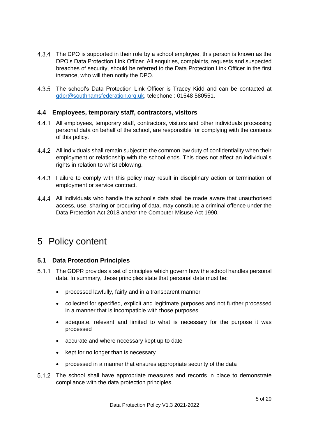- The DPO is supported in their role by a school employee, this person is known as the DPO's Data Protection Link Officer. All enquiries, complaints, requests and suspected breaches of security, should be referred to the Data Protection Link Officer in the first instance, who will then notify the DPO.
- The school's Data Protection Link Officer is Tracey Kidd and can be contacted at [gdpr@southhamsfederation.org.uk,](mailto:gdpr@southhamsfederation.org.uk) telephone : 01548 580551.

#### <span id="page-4-0"></span>**4.4 Employees, temporary staff, contractors, visitors**

- All employees, temporary staff, contractors, visitors and other individuals processing personal data on behalf of the school, are responsible for complying with the contents of this policy.
- All individuals shall remain subject to the common law duty of confidentiality when their employment or relationship with the school ends. This does not affect an individual's rights in relation to whistleblowing.
- 4.4.3 Failure to comply with this policy may result in disciplinary action or termination of employment or service contract.
- All individuals who handle the school's data shall be made aware that unauthorised access, use, sharing or procuring of data, may constitute a criminal offence under the Data Protection Act 2018 and/or the Computer Misuse Act 1990.

## <span id="page-4-1"></span>5 Policy content

#### <span id="page-4-2"></span>**5.1 Data Protection Principles**

- The GDPR provides a set of principles which govern how the school handles personal data. In summary, these principles state that personal data must be:
	- processed lawfully, fairly and in a transparent manner
	- collected for specified, explicit and legitimate purposes and not further processed in a manner that is incompatible with those purposes
	- adequate, relevant and limited to what is necessary for the purpose it was processed
	- accurate and where necessary kept up to date
	- kept for no longer than is necessary
	- processed in a manner that ensures appropriate security of the data
- 5.1.2 The school shall have appropriate measures and records in place to demonstrate compliance with the data protection principles.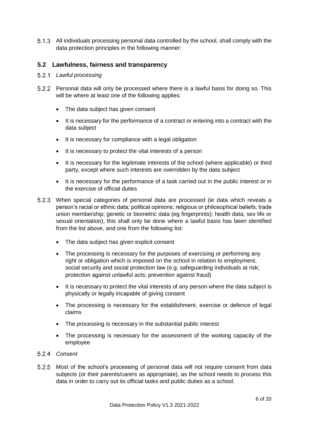All individuals processing personal data controlled by the school, shall comply with the data protection principles in the following manner:

#### <span id="page-5-0"></span>**5.2 Lawfulness, fairness and transparency**

- *Lawful processing*
- Personal data will only be processed where there is a lawful basis for doing so. This will be where at least one of the following applies:
	- The data subject has given consent
	- It is necessary for the performance of a contract or entering into a contract with the data subject
	- It is necessary for compliance with a legal obligation
	- It is necessary to protect the vital interests of a person
	- It is necessary for the legitimate interests of the school (where applicable) or third party, except where such interests are overridden by the data subject
	- It is necessary for the performance of a task carried out in the public interest or in the exercise of official duties
- When special categories of personal data are processed (ie data which reveals a person's racial or ethnic data; political opinions; religious or philosophical beliefs; trade union membership; genetic or biometric data (eg fingerprints); health data; sex life or sexual orientation), this shall only be done where a lawful basis has been identified from the list above, and one from the following list:
	- The data subject has given explicit consent
	- The processing is necessary for the purposes of exercising or performing any right or obligation which is imposed on the school in relation to employment, social security and social protection law (e.g. safeguarding individuals at risk; protection against unlawful acts; prevention against fraud)
	- It is necessary to protect the vital interests of any person where the data subject is physically or legally incapable of giving consent
	- The processing is necessary for the establishment, exercise or defence of legal claims
	- The processing is necessary in the substantial public interest
	- The processing is necessary for the assessment of the working capacity of the employee
- *Consent*
- 5.2.5 Most of the school's processing of personal data will not require consent from data subjects (or their parents/carers as appropriate), as the school needs to process this data in order to carry out its official tasks and public duties as a school.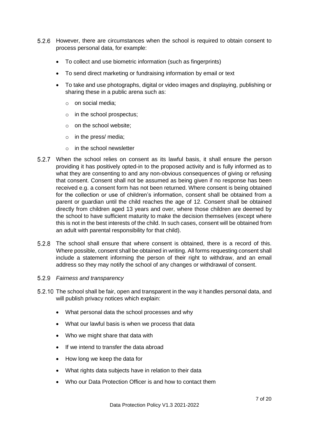- 5.2.6 However, there are circumstances when the school is required to obtain consent to process personal data, for example:
	- To collect and use biometric information (such as fingerprints)
	- To send direct marketing or fundraising information by email or text
	- To take and use photographs, digital or video images and displaying, publishing or sharing these in a public arena such as:
		- o on social media;
		- o in the school prospectus;
		- o on the school website;
		- o in the press/ media;
		- o in the school newsletter
- When the school relies on consent as its lawful basis, it shall ensure the person providing it has positively opted-in to the proposed activity and is fully informed as to what they are consenting to and any non-obvious consequences of giving or refusing that consent. Consent shall not be assumed as being given if no response has been received e.g. a consent form has not been returned. Where consent is being obtained for the collection or use of children's information, consent shall be obtained from a parent or guardian until the child reaches the age of 12. Consent shall be obtained directly from children aged 13 years and over, where those children are deemed by the school to have sufficient maturity to make the decision themselves (except where this is not in the best interests of the child. In such cases, consent will be obtained from an adult with parental responsibility for that child).
- The school shall ensure that where consent is obtained, there is a record of this. Where possible, consent shall be obtained in writing. All forms requesting consent shall include a statement informing the person of their right to withdraw, and an email address so they may notify the school of any changes or withdrawal of consent.

#### *Fairness and transparency*

- 5.2.10 The school shall be fair, open and transparent in the way it handles personal data, and will publish privacy notices which explain:
	- What personal data the school processes and why
	- What our lawful basis is when we process that data
	- Who we might share that data with
	- If we intend to transfer the data abroad
	- How long we keep the data for
	- What rights data subjects have in relation to their data
	- Who our Data Protection Officer is and how to contact them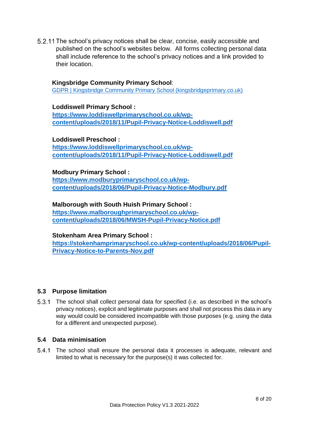5.2.11 The school's privacy notices shall be clear, concise, easily accessible and published on the school's websites below. All forms collecting personal data shall include reference to the school's privacy notices and a link provided to their location.

#### **Kingsbridge Community Primary School**:

[GDPR | Kingsbridge Community Primary School \(kingsbridgeprimary.co.uk\)](https://www.kingsbridgeprimary.co.uk/gdpr-1/)

#### **Loddiswell Primary School :**

**[https://www.loddiswellprimaryschool.co.uk/wp](https://www.loddiswellprimaryschool.co.uk/wp-content/uploads/2018/11/Pupil-Privacy-Notice-Loddiswell.pdf)[content/uploads/2018/11/Pupil-Privacy-Notice-Loddiswell.pdf](https://www.loddiswellprimaryschool.co.uk/wp-content/uploads/2018/11/Pupil-Privacy-Notice-Loddiswell.pdf)**

#### **Loddiswell Preschool :**

**[https://www.loddiswellprimaryschool.co.uk/wp](https://www.loddiswellprimaryschool.co.uk/wp-content/uploads/2018/11/Pupil-Privacy-Notice-Loddiswell.pdf)[content/uploads/2018/11/Pupil-Privacy-Notice-Loddiswell.pdf](https://www.loddiswellprimaryschool.co.uk/wp-content/uploads/2018/11/Pupil-Privacy-Notice-Loddiswell.pdf)**

#### **Modbury Primary School :**

**[https://www.modburyprimaryschool.co.uk/wp](https://www.modburyprimaryschool.co.uk/wp-content/uploads/2018/06/Pupil-Privacy-Notice-Modbury.pdf)[content/uploads/2018/06/Pupil-Privacy-Notice-Modbury.pdf](https://www.modburyprimaryschool.co.uk/wp-content/uploads/2018/06/Pupil-Privacy-Notice-Modbury.pdf)**

#### **Malborough with South Huish Primary School : [https://www.malboroughprimaryschool.co.uk/wp](https://www.malboroughprimaryschool.co.uk/wp-content/uploads/2018/06/MWSH-Pupil-Privacy-Notice.pdf)[content/uploads/2018/06/MWSH-Pupil-Privacy-Notice.pdf](https://www.malboroughprimaryschool.co.uk/wp-content/uploads/2018/06/MWSH-Pupil-Privacy-Notice.pdf)**

#### **Stokenham Area Primary School : [https://stokenhamprimaryschool.co.uk/wp-content/uploads/2018/06/Pupil-](https://stokenhamprimaryschool.co.uk/wp-content/uploads/2018/06/Pupil-Privacy-Notice-to-Parents-Nov.pdf)[Privacy-Notice-to-Parents-Nov.pdf](https://stokenhamprimaryschool.co.uk/wp-content/uploads/2018/06/Pupil-Privacy-Notice-to-Parents-Nov.pdf)**

#### <span id="page-7-0"></span>**5.3 Purpose limitation**

The school shall collect personal data for specified (i.e. as described in the school's privacy notices), explicit and legitimate purposes and shall not process this data in any way would could be considered incompatible with those purposes (e.g. using the data for a different and unexpected purpose).

#### <span id="page-7-1"></span>**5.4 Data minimisation**

The school shall ensure the personal data it processes is adequate, relevant and limited to what is necessary for the purpose(s) it was collected for.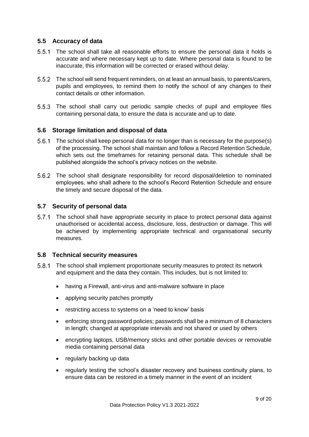#### <span id="page-8-0"></span>**5.5 Accuracy of data**

- The school shall take all reasonable efforts to ensure the personal data it holds is accurate and where necessary kept up to date. Where personal data is found to be inaccurate, this information will be corrected or erased without delay.
- The school will send frequent reminders, on at least an annual basis, to parents/carers, pupils and employees, to remind them to notify the school of any changes to their contact details or other information.
- 5.5.3 The school shall carry out periodic sample checks of pupil and employee files containing personal data, to ensure the data is accurate and up to date.

#### <span id="page-8-1"></span>**5.6 Storage limitation and disposal of data**

- The school shall keep personal data for no longer than is necessary for the purpose(s) of the processing. The school shall maintain and follow a Record Retention Schedule, which sets out the timeframes for retaining personal data. This schedule shall be published alongside the school's privacy notices on the website.
- The school shall designate responsibility for record disposal/deletion to nominated employees, who shall adhere to the school's Record Retention Schedule and ensure the timely and secure disposal of the data.

#### <span id="page-8-2"></span>**5.7 Security of personal data**

5.7.1 The school shall have appropriate security in place to protect personal data against unauthorised or accidental access, disclosure, loss, destruction or damage. This will be achieved by implementing appropriate technical and organisational security measures.

#### <span id="page-8-3"></span>**5.8 Technical security measures**

- The school shall implement proportionate security measures to protect its network and equipment and the data they contain. This includes, but is not limited to:
	- having a Firewall, anti-virus and anti-malware software in place
	- applying security patches promptly
	- restricting access to systems on a 'need to know' basis
	- enforcing strong password policies; passwords shall be a minimum of 8 characters in length; changed at appropriate intervals and not shared or used by others
	- encrypting laptops, USB/memory sticks and other portable devices or removable media containing personal data
	- regularly backing up data
	- regularly testing the school's disaster recovery and business continuity plans, to ensure data can be restored in a timely manner in the event of an incident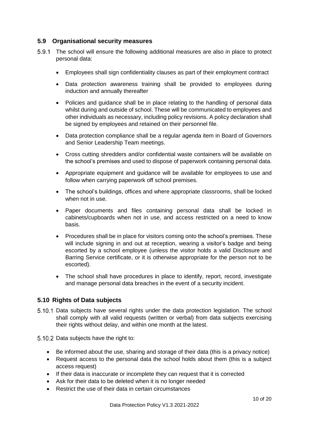#### <span id="page-9-0"></span>**5.9 Organisational security measures**

- The school will ensure the following additional measures are also in place to protect personal data:
	- Employees shall sign confidentiality clauses as part of their employment contract
	- Data protection awareness training shall be provided to employees during induction and annually thereafter
	- Policies and guidance shall be in place relating to the handling of personal data whilst during and outside of school. These will be communicated to employees and other individuals as necessary, including policy revisions. A policy declaration shall be signed by employees and retained on their personnel file.
	- Data protection compliance shall be a regular agenda item in Board of Governors and Senior Leadership Team meetings.
	- Cross cutting shredders and/or confidential waste containers will be available on the school's premises and used to dispose of paperwork containing personal data.
	- Appropriate equipment and guidance will be available for employees to use and follow when carrying paperwork off school premises.
	- The school's buildings, offices and where appropriate classrooms, shall be locked when not in use.
	- Paper documents and files containing personal data shall be locked in cabinets/cupboards when not in use, and access restricted on a need to know basis.
	- Procedures shall be in place for visitors coming onto the school's premises. These will include signing in and out at reception, wearing a visitor's badge and being escorted by a school employee (unless the visitor holds a valid Disclosure and Barring Service certificate, or it is otherwise appropriate for the person not to be escorted).
	- The school shall have procedures in place to identify, report, record, investigate and manage personal data breaches in the event of a security incident.

#### <span id="page-9-1"></span>**5.10 Rights of Data subjects**

- 5.10.1 Data subjects have several rights under the data protection legislation. The school shall comply with all valid requests (written or verbal) from data subjects exercising their rights without delay, and within one month at the latest.
- 5.10.2 Data subjects have the right to:
	- Be informed about the use, sharing and storage of their data (this is a privacy notice)
	- Request access to the personal data the school holds about them (this is a subject access request)
	- If their data is inaccurate or incomplete they can request that it is corrected
	- Ask for their data to be deleted when it is no longer needed
	- Restrict the use of their data in certain circumstances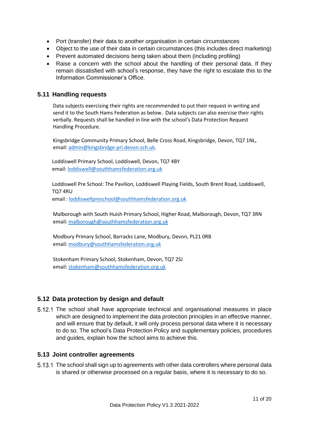- Port (transfer) their data to another organisation in certain circumstances
- Object to the use of their data in certain circumstances (this includes direct marketing)
- Prevent automated decisions being taken about them (including profiling)
- Raise a concern with the school about the handling of their personal data. If they remain dissatisfied with school's response, they have the right to escalate this to the Information Commissioner's Office.

#### <span id="page-10-0"></span>**5.11 Handling requests**

Data subjects exercising their rights are recommended to put their request in writing and send it to the South Hams Federation as below. Data subjects can also exercise their rights verbally. Requests shall be handled in line with the school's Data Protection Request Handling Procedure.

Kingsbridge Community Primary School, Belle Cross Road, Kingsbridge, Devon, TQ7 1NL, email: [admin@kingsbridge-pri.devon.sch.uk.](mailto:admin@kingsbridge-pri.devon.sch.uk)

Loddiswell Primary School, Loddiswell, Devon, TQ7 4BY email: [loddiswell@southhamsfederation.org.uk](mailto:loddiswell@southhamsfederation.org.uk)

Loddiswell Pre School: The Pavilion, Loddiswell Playing Fields, South Brent Road, Loddiswell, TQ7 4RU email : loddiswellpreschool@southhamsfederation.org.uk

Malborough with South Huish Primary School, Higher Road, Malborough, Devon, TQ7 3RN email: [malborough@southhamsfederation.org.uk](mailto:malborough@southhamsfederation.org.uk)

Modbury Primary School, Barracks Lane, Modbury, Devon, PL21 0RB email: [modbury@southhamsfederation.org.uk](mailto:modbury@southhamsfederation.org.uk)

Stokenham Primary School, Stokenham, Devon, TQ7 2SJ email: [stokenham@southhamsfederation.org.uk](mailto:stokenham@southhamsfederation.org.uk)

#### <span id="page-10-1"></span>**5.12 Data protection by design and default**

5.12.1 The school shall have appropriate technical and organisational measures in place which are designed to implement the data protection principles in an effective manner, and will ensure that by default, it will only process personal data where it is necessary to do so. The school's Data Protection Policy and supplementary policies, procedures and guides, explain how the school aims to achieve this.

#### <span id="page-10-2"></span>**5.13 Joint controller agreements**

5.13.1 The school shall sign up to agreements with other data controllers where personal data is shared or otherwise processed on a regular basis, where it is necessary to do so.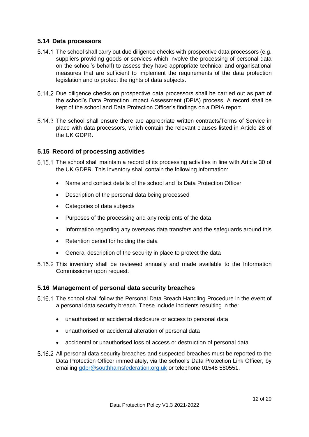#### <span id="page-11-0"></span>**5.14 Data processors**

- 5.14.1 The school shall carry out due diligence checks with prospective data processors (e.g. suppliers providing goods or services which involve the processing of personal data on the school's behalf) to assess they have appropriate technical and organisational measures that are sufficient to implement the requirements of the data protection legislation and to protect the rights of data subjects.
- Due diligence checks on prospective data processors shall be carried out as part of the school's Data Protection Impact Assessment (DPIA) process. A record shall be kept of the school and Data Protection Officer's findings on a DPIA report.
- The school shall ensure there are appropriate written contracts/Terms of Service in place with data processors, which contain the relevant clauses listed in Article 28 of the UK GDPR.

#### <span id="page-11-1"></span>**5.15 Record of processing activities**

- The school shall maintain a record of its processing activities in line with Article 30 of the UK GDPR. This inventory shall contain the following information:
	- Name and contact details of the school and its Data Protection Officer
	- Description of the personal data being processed
	- Categories of data subjects
	- Purposes of the processing and any recipients of the data
	- Information regarding any overseas data transfers and the safeguards around this
	- Retention period for holding the data
	- General description of the security in place to protect the data
- 5.15.2 This inventory shall be reviewed annually and made available to the Information Commissioner upon request.

#### <span id="page-11-2"></span>**5.16 Management of personal data security breaches**

- The school shall follow the Personal Data Breach Handling Procedure in the event of a personal data security breach. These include incidents resulting in the:
	- unauthorised or accidental disclosure or access to personal data
	- unauthorised or accidental alteration of personal data
	- accidental or unauthorised loss of access or destruction of personal data
- 5.16.2 All personal data security breaches and suspected breaches must be reported to the Data Protection Officer immediately, via the school's Data Protection Link Officer, by emailing [gdpr@southhamsfederation.org.uk](mailto:gdpr@southhamsfederation.org.uk) or telephone 01548 580551.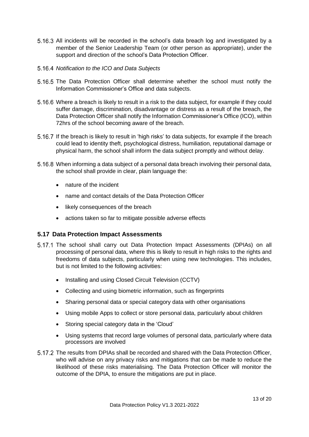- 5.16.3 All incidents will be recorded in the school's data breach log and investigated by a member of the Senior Leadership Team (or other person as appropriate), under the support and direction of the school's Data Protection Officer.
- *Notification to the ICO and Data Subjects*
- 5.16.5 The Data Protection Officer shall determine whether the school must notify the Information Commissioner's Office and data subjects.
- Where a breach is likely to result in a risk to the data subject, for example if they could suffer damage, discrimination, disadvantage or distress as a result of the breach, the Data Protection Officer shall notify the Information Commissioner's Office (ICO), within 72hrs of the school becoming aware of the breach.
- If the breach is likely to result in 'high risks' to data subjects, for example if the breach could lead to identity theft, psychological distress, humiliation, reputational damage or physical harm, the school shall inform the data subject promptly and without delay.
- When informing a data subject of a personal data breach involving their personal data, the school shall provide in clear, plain language the:
	- nature of the incident
	- name and contact details of the Data Protection Officer
	- likely consequences of the breach
	- actions taken so far to mitigate possible adverse effects

#### <span id="page-12-0"></span>**5.17 Data Protection Impact Assessments**

- 5.17.1 The school shall carry out Data Protection Impact Assessments (DPIAs) on all processing of personal data, where this is likely to result in high risks to the rights and freedoms of data subjects, particularly when using new technologies. This includes, but is not limited to the following activities:
	- Installing and using Closed Circuit Television (CCTV)
	- Collecting and using biometric information, such as fingerprints
	- Sharing personal data or special category data with other organisations
	- Using mobile Apps to collect or store personal data, particularly about children
	- Storing special category data in the 'Cloud'
	- Using systems that record large volumes of personal data, particularly where data processors are involved
- 5.17.2 The results from DPIAs shall be recorded and shared with the Data Protection Officer, who will advise on any privacy risks and mitigations that can be made to reduce the likelihood of these risks materialising. The Data Protection Officer will monitor the outcome of the DPIA, to ensure the mitigations are put in place.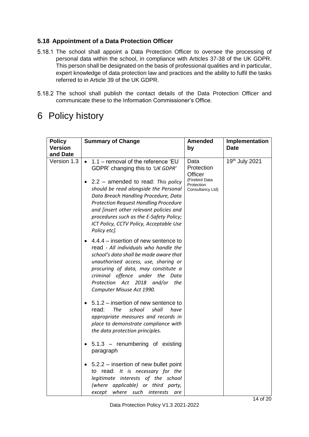#### <span id="page-13-0"></span>**5.18 Appointment of a Data Protection Officer**

- 5.18.1 The school shall appoint a Data Protection Officer to oversee the processing of personal data within the school, in compliance with Articles 37-38 of the UK GDPR. This person shall be designated on the basis of professional qualities and in particular, expert knowledge of data protection law and practices and the ability to fulfil the tasks referred to in Article 39 of the UK GDPR.
- 5.18.2 The school shall publish the contact details of the Data Protection Officer and communicate these to the Information Commissioner's Office.

## <span id="page-13-1"></span>6 Policy history

| <b>Policy</b>              | <b>Summary of Change</b>                                                                                                                                                                                                                                                                                                                                                                                      | <b>Amended</b>                                                                    | Implementation |
|----------------------------|---------------------------------------------------------------------------------------------------------------------------------------------------------------------------------------------------------------------------------------------------------------------------------------------------------------------------------------------------------------------------------------------------------------|-----------------------------------------------------------------------------------|----------------|
| <b>Version</b><br>and Date |                                                                                                                                                                                                                                                                                                                                                                                                               | by                                                                                | <b>Date</b>    |
| Version 1.3                | 1.1 - removal of the reference 'EU<br>$\bullet$<br>GDPR' changing this to 'UK GDPR'<br>$2.2$ – amended to read: This policy<br>should be read alongside the Personal<br>Data Breach Handling Procedure, Data<br><b>Protection Request Handling Procedure</b><br>and [insert other relevant policies and<br>procedures such as the E-Safety Policy;<br>ICT Policy, CCTV Policy, Acceptable Use<br>Policy etc]. | Data<br>Protection<br>Officer<br>(Firebird Data<br>Protection<br>Consultancy Ltd) | 19th July 2021 |
|                            | $4.4.4$ – insertion of new sentence to<br>read - All individuals who handle the<br>school's data shall be made aware that<br>unauthorised access, use, sharing or<br>procuring of data, may constitute a<br>criminal offence under the Data<br>Protection Act 2018 and/or<br>the<br>Computer Misuse Act 1990.                                                                                                 |                                                                                   |                |
|                            | 5.1.2 – insertion of new sentence to<br>school<br>read:<br>The<br>shall<br>have<br>appropriate measures and records in<br>place to demonstrate compliance with<br>the data protection principles.                                                                                                                                                                                                             |                                                                                   |                |
|                            | 5.1.3 - renumbering of existing<br>paragraph                                                                                                                                                                                                                                                                                                                                                                  |                                                                                   |                |
|                            | 5.2.2 – insertion of new bullet point<br>to read: It is necessary for the<br>legitimate interests of the school<br>(where applicable) or third party,<br>where<br>except<br>such interests<br>are                                                                                                                                                                                                             |                                                                                   |                |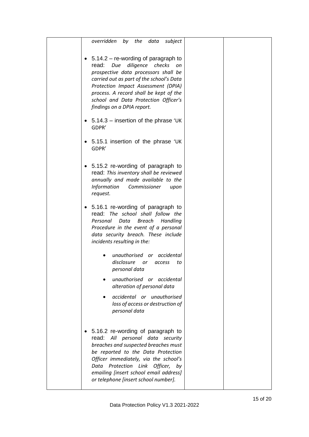| overridden<br>by the data<br>subject                                                                                                                                                                                                                                                                                            |
|---------------------------------------------------------------------------------------------------------------------------------------------------------------------------------------------------------------------------------------------------------------------------------------------------------------------------------|
| $5.14.2$ – re-wording of paragraph to<br>٠<br>diligence checks<br>read:<br>Due<br>on<br>prospective data processors shall be<br>carried out as part of the school's Data<br>Protection Impact Assessment (DPIA)<br>process. A record shall be kept of the<br>school and Data Protection Officer's<br>findings on a DPIA report. |
| $5.14.3$ – insertion of the phrase 'UK<br>٠<br>GDPR'                                                                                                                                                                                                                                                                            |
| 5.15.1 insertion of the phrase 'UK<br>GDPR'                                                                                                                                                                                                                                                                                     |
| 5.15.2 re-wording of paragraph to<br>$\bullet$<br>read: This inventory shall be reviewed<br>annually and made available to the<br><b>Information</b><br>Commissioner<br>upon<br>request.                                                                                                                                        |
| 5.16.1 re-wording of paragraph to<br>٠<br>read: The school shall follow the<br>Breach<br>Personal<br>Data<br>Handling<br>Procedure in the event of a personal<br>data security breach. These include<br>incidents resulting in the:                                                                                             |
| unauthorised or accidental<br>disclosure or access<br>to<br>personal data                                                                                                                                                                                                                                                       |
| unauthorised or accidental<br>alteration of personal data                                                                                                                                                                                                                                                                       |
| accidental or unauthorised<br>loss of access or destruction of<br>personal data                                                                                                                                                                                                                                                 |
| 5.16.2 re-wording of paragraph to<br>read: All personal data security<br>breaches and suspected breaches must<br>be reported to the Data Protection<br>Officer immediately, via the school's<br>Data Protection Link Officer, by<br>emailing [insert school email address]<br>or telephone [insert school number].              |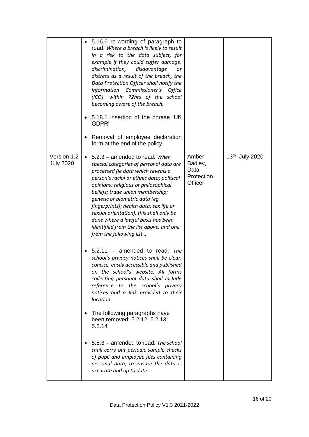| Amber<br><b>July 2020</b><br>Badley,<br>special categories of personal data are<br>Data<br>processed (ie data which reveals a<br>Protection<br>person's racial or ethnic data; political<br>Officer<br>opinions; religious or philosophical<br>beliefs; trade union membership;<br>genetic or biometric data (eg<br>fingerprints); health data; sex life or<br>sexual orientation), this shall only be<br>done where a lawful basis has been<br>identified from the list above, and one<br>from the following list<br>$5.2.11$ – amended to read: The<br>school's privacy notices shall be clear,<br>concise, easily accessible and published<br>on the school's website. All forms<br>collecting personal data shall include<br>reference to the school's privacy<br>notices and a link provided to their<br>location.<br>The following paragraphs have<br>been removed: 5.2.12; 5.2.13; |             | • 5.16.6 re-wording of paragraph to<br>read: Where a breach is likely to result<br>in a risk to the data subject, for<br>example if they could suffer damage,<br>discrimination,<br>disadvantage<br>or<br>distress as a result of the breach, the<br>Data Protection Officer shall notify the<br>Information Commissioner's<br>Office<br>(ICO), within 72hrs of the school<br>becoming aware of the breach.<br>5.18.1 insertion of the phrase 'UK<br>GDPR'<br>Removal of employee declaration<br>form at the end of the policy |                |
|-------------------------------------------------------------------------------------------------------------------------------------------------------------------------------------------------------------------------------------------------------------------------------------------------------------------------------------------------------------------------------------------------------------------------------------------------------------------------------------------------------------------------------------------------------------------------------------------------------------------------------------------------------------------------------------------------------------------------------------------------------------------------------------------------------------------------------------------------------------------------------------------|-------------|--------------------------------------------------------------------------------------------------------------------------------------------------------------------------------------------------------------------------------------------------------------------------------------------------------------------------------------------------------------------------------------------------------------------------------------------------------------------------------------------------------------------------------|----------------|
| 5.5.3 - amended to read: The school<br>shall carry out periodic sample checks<br>of pupil and employee files containing<br>personal data, to ensure the data is                                                                                                                                                                                                                                                                                                                                                                                                                                                                                                                                                                                                                                                                                                                           | Version 1.2 | • 5.2.3 - amended to read: When<br>5.2.14                                                                                                                                                                                                                                                                                                                                                                                                                                                                                      | 13th July 2020 |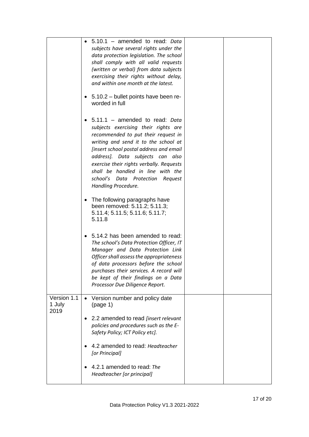|                               | 5.10.1 - amended to read: Data<br>subjects have several rights under the<br>data protection legislation. The school<br>shall comply with all valid requests<br>(written or verbal) from data subjects<br>exercising their rights without delay,<br>and within one month at the latest.<br>5.10.2 - bullet points have been re-<br>worded in full                                 |
|-------------------------------|----------------------------------------------------------------------------------------------------------------------------------------------------------------------------------------------------------------------------------------------------------------------------------------------------------------------------------------------------------------------------------|
|                               | 5.11.1 - amended to read: Data<br>subjects exercising their rights are<br>recommended to put their request in<br>writing and send it to the school at<br>[insert school postal address and email<br>address). Data subjects can also<br>exercise their rights verbally. Requests<br>shall be handled in line with the<br>school's Data Protection Request<br>Handling Procedure. |
|                               | The following paragraphs have<br>been removed: 5.11.2; 5.11.3;<br>5.11.4; 5.11.5; 5.11.6; 5.11.7;<br>5.11.8                                                                                                                                                                                                                                                                      |
|                               | 5.14.2 has been amended to read:<br>The school's Data Protection Officer, IT<br>Manager and Data Protection Link<br>Officer shall assess the appropriateness<br>of data processors before the school<br>purchases their services. A record will<br>be kept of their findings on a Data<br>Processor Due Diligence Report.                                                        |
| Version 1.1<br>1 July<br>2019 | Version number and policy date<br>(page 1)                                                                                                                                                                                                                                                                                                                                       |
|                               | 2.2 amended to read [insert relevant<br>policies and procedures such as the E-<br>Safety Policy; ICT Policy etc].                                                                                                                                                                                                                                                                |
|                               | 4.2 amended to read: Headteacher<br>[or Principal]                                                                                                                                                                                                                                                                                                                               |
|                               | 4.2.1 amended to read: The<br>Headteacher [or principal]                                                                                                                                                                                                                                                                                                                         |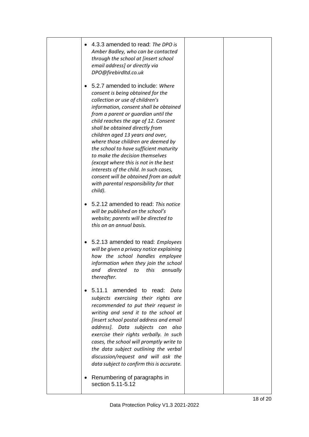| 4.3.3 amended to read: The DPO is<br>Amber Badley, who can be contacted<br>through the school at [insert school<br>email address] or directly via<br>DPO@firebirdltd.co.uk                                                                                                                                                                                                                                                                                                                                                                                                                                  |  |
|-------------------------------------------------------------------------------------------------------------------------------------------------------------------------------------------------------------------------------------------------------------------------------------------------------------------------------------------------------------------------------------------------------------------------------------------------------------------------------------------------------------------------------------------------------------------------------------------------------------|--|
| 5.2.7 amended to include: Where<br>consent is being obtained for the<br>collection or use of children's<br>information, consent shall be obtained<br>from a parent or guardian until the<br>child reaches the age of 12. Consent<br>shall be obtained directly from<br>children aged 13 years and over,<br>where those children are deemed by<br>the school to have sufficient maturity<br>to make the decision themselves<br>(except where this is not in the best<br>interests of the child. In such cases,<br>consent will be obtained from an adult<br>with parental responsibility for that<br>child). |  |
| 5.2.12 amended to read: This notice<br>will be published on the school's<br>website; parents will be directed to<br>this on an annual basis.                                                                                                                                                                                                                                                                                                                                                                                                                                                                |  |
| 5.2.13 amended to read: Employees<br>$\bullet$<br>will be given a privacy notice explaining<br>how the school handles employee<br>information when they join the school<br>and directed to this annually<br>thereafter.                                                                                                                                                                                                                                                                                                                                                                                     |  |
| 5.11.1 amended to read: Data<br>subjects exercising their rights are<br>recommended to put their request in<br>writing and send it to the school at<br>[insert school postal address and email<br>address]. Data subjects can also<br>exercise their rights verbally. In such<br>cases, the school will promptly write to<br>the data subject outlining the verbal<br>discussion/request and will ask the<br>data subject to confirm this is accurate.                                                                                                                                                      |  |
| Renumbering of paragraphs in<br>section 5.11-5.12                                                                                                                                                                                                                                                                                                                                                                                                                                                                                                                                                           |  |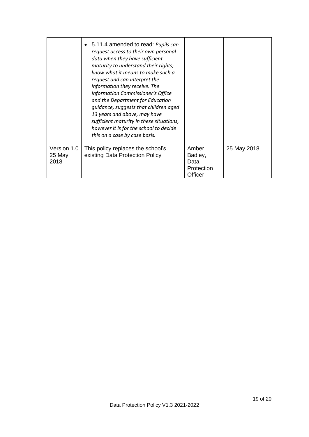|                               | 5.11.4 amended to read: Pupils can<br>request access to their own personal<br>data when they have sufficient<br>maturity to understand their rights;<br>know what it means to make such a<br>request and can interpret the<br>information they receive. The<br>Information Commissioner's Office<br>and the Department for Education<br>quidance, suggests that children aged<br>13 years and above, may have<br>sufficient maturity in these situations,<br>however it is for the school to decide<br>this on a case by case basis. |                                                   |             |
|-------------------------------|--------------------------------------------------------------------------------------------------------------------------------------------------------------------------------------------------------------------------------------------------------------------------------------------------------------------------------------------------------------------------------------------------------------------------------------------------------------------------------------------------------------------------------------|---------------------------------------------------|-------------|
| Version 1.0<br>25 May<br>2018 | This policy replaces the school's<br>existing Data Protection Policy                                                                                                                                                                                                                                                                                                                                                                                                                                                                 | Amber<br>Badley,<br>Data<br>Protection<br>Officer | 25 May 2018 |